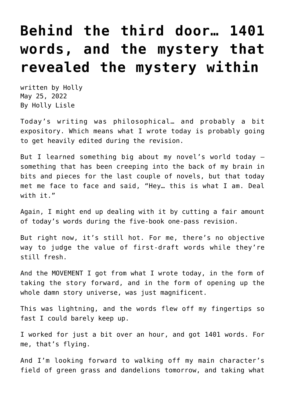## **[Behind the third door… 1401](https://hollylisle.com/behind-the-third-door-1401-words-and-the-mystery-that-revealed-the-mystery-within/) [words, and the mystery that](https://hollylisle.com/behind-the-third-door-1401-words-and-the-mystery-that-revealed-the-mystery-within/) [revealed the mystery within](https://hollylisle.com/behind-the-third-door-1401-words-and-the-mystery-that-revealed-the-mystery-within/)**

written by Holly May 25, 2022 [By Holly Lisle](https://hollylisle.com)

Today's writing was philosophical… and probably a bit expository. Which means what I wrote today is probably going to get heavily edited during the revision.

But I learned something big about my novel's world today something that has been creeping into the back of my brain in bits and pieces for the last couple of novels, but that today met me face to face and said, "Hey… this is what I am. Deal with it."

Again, I might end up dealing with it by cutting a fair amount of today's words during the five-book one-pass revision.

But right now, it's still hot. For me, there's no objective way to judge the value of first-draft words while they're still fresh.

And the MOVEMENT I got from what I wrote today, in the form of taking the story forward, and in the form of opening up the whole damn story universe, was just magnificent.

This was lightning, and the words flew off my fingertips so fast I could barely keep up.

I worked for just a bit over an hour, and got 1401 words. For me, that's flying.

And I'm looking forward to walking off my main character's field of green grass and dandelions tomorrow, and taking what